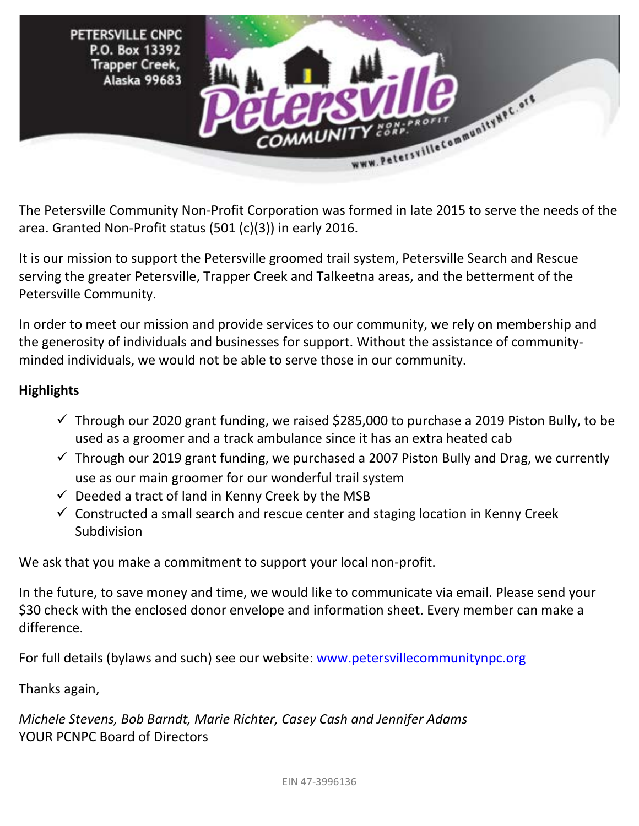

The Petersville Community Non-Profit Corporation was formed in late 2015 to serve the needs of the area. Granted Non-Profit status (501 (c)(3)) in early 2016.

It is our mission to support the Petersville groomed trail system, Petersville Search and Rescue serving the greater Petersville, Trapper Creek and Talkeetna areas, and the betterment of the Petersville Community.

In order to meet our mission and provide services to our community, we rely on membership and the generosity of individuals and businesses for support. Without the assistance of communityminded individuals, we would not be able to serve those in our community.

## **Highlights**

- $\checkmark$  Through our 2020 grant funding, we raised \$285,000 to purchase a 2019 Piston Bully, to be used as a groomer and a track ambulance since it has an extra heated cab
- $\checkmark$  Through our 2019 grant funding, we purchased a 2007 Piston Bully and Drag, we currently use as our main groomer for our wonderful trail system
- $\checkmark$  Deeded a tract of land in Kenny Creek by the MSB
- $\checkmark$  Constructed a small search and rescue center and staging location in Kenny Creek Subdivision

We ask that you make a commitment to support your local non-profit.

In the future, to save money and time, we would like to communicate via email. Please send your \$30 check with the enclosed donor envelope and information sheet. Every member can make a difference.

For full details (bylaws and such) see our website: www.petersvillecommunitynpc.org

Thanks again,

*Michele Stevens, Bob Barndt, Marie Richter, Casey Cash and Jennifer Adams* YOUR PCNPC Board of Directors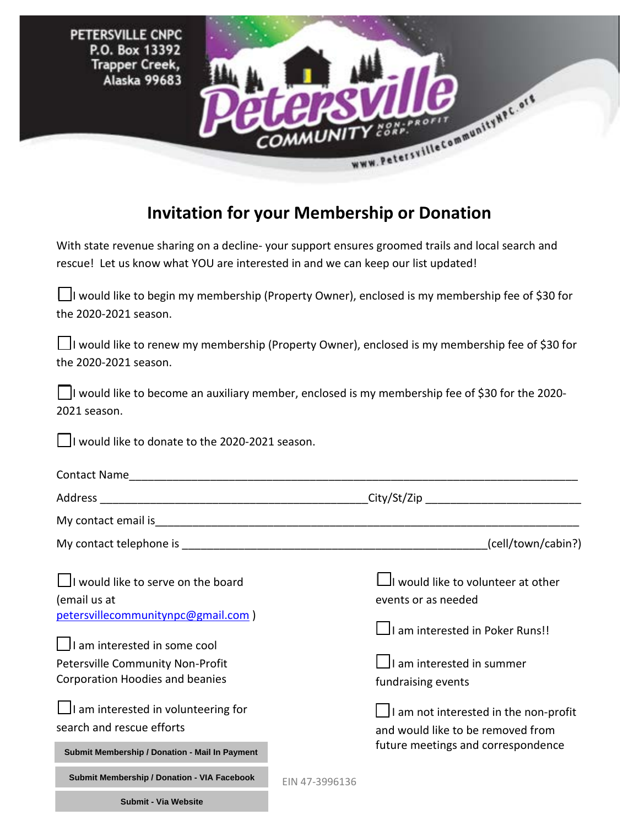PETERSVILLE CNPC P.O. Box 13392 **Trapper Creek,** Alaska 99683



## **Invitation for your Membership or Donation**

With state revenue sharing on a decline- your support ensures groomed trails and local search and rescue! Let us know what YOU are interested in and we can keep our list updated!

| □I would like to begin my membership (Property Owner), enclosed is my membership fee of \$30 for |
|--------------------------------------------------------------------------------------------------|
| the 2020-2021 season.                                                                            |

 $\Box$ I would like to renew my membership (Property Owner), enclosed is my membership fee of \$30 for the 2020-2021 season.

□I would like to become an auxiliary member, enclosed is my membership fee of \$30 for the 2020- 2021 season.

□I would like to donate to the 2020-2021 season.

|                                                                           |                                                                                   | (cell/town/cabin?)                                                            |  |
|---------------------------------------------------------------------------|-----------------------------------------------------------------------------------|-------------------------------------------------------------------------------|--|
| I would like to serve on the board<br>(email us at                        |                                                                                   | $\mathsf{\mathsf{u}}$ would like to volunteer at other<br>events or as needed |  |
| petersvillecommunitynpc@gmail.com)<br>$\Box$ I am interested in some cool |                                                                                   | $\Box$ I am interested in Poker Runs!!                                        |  |
| Petersville Community Non-Profit<br>Corporation Hoodies and beanies       |                                                                                   | $\Box$ I am interested in summer<br>fundraising events                        |  |
| $\Box$ I am interested in volunteering for<br>search and rescue efforts   | $\Box$ I am not interested in the non-profit<br>and would like to be removed from |                                                                               |  |
| Submit Membership / Donation - Mail In Payment                            |                                                                                   | future meetings and correspondence                                            |  |
| Submit Membership / Donation - VIA Facebook                               | EIN 47-3996136                                                                    |                                                                               |  |